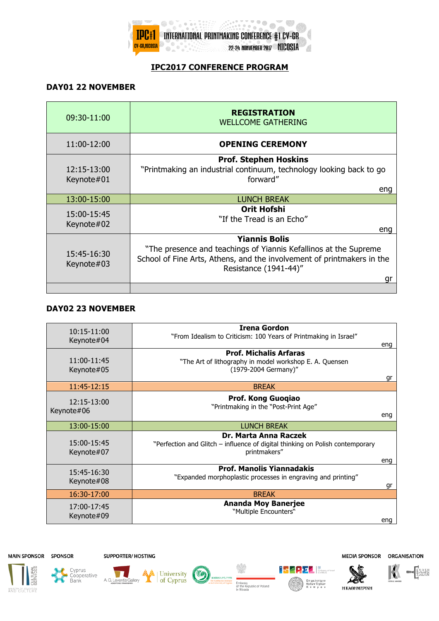

## **IPC2017 CONFERENCE PROGRAM**

## **DAY01 22 NOVEMBER**

| 09:30-11:00               | <b>REGISTRATION</b><br><b>WELLCOME GATHERING</b>                                                                                                                                                  |
|---------------------------|---------------------------------------------------------------------------------------------------------------------------------------------------------------------------------------------------|
| 11:00-12:00               | <b>OPENING CEREMONY</b>                                                                                                                                                                           |
| 12:15-13:00<br>Keynote#01 | <b>Prof. Stephen Hoskins</b><br>"Printmaking an industrial continuum, technology looking back to go<br>forward"                                                                                   |
| 13:00-15:00               | eng<br><b>LUNCH BREAK</b>                                                                                                                                                                         |
| 15:00-15:45<br>Keynote#02 | <b>Orit Hofshi</b><br>"If the Tread is an Echo"<br>eng                                                                                                                                            |
| 15:45-16:30<br>Keynote#03 | <b>Yiannis Bolis</b><br>"The presence and teachings of Yiannis Kefallinos at the Supreme<br>School of Fine Arts, Athens, and the involvement of printmakers in the<br>Resistance (1941-44)"<br>gr |
|                           |                                                                                                                                                                                                   |

## **DAY02 23 NOVEMBER**

| $10:15-11:00$<br>Keynote#04   | <b>Irena Gordon</b><br>"From Idealism to Criticism: 100 Years of Printmaking in Israel"                                | eng |
|-------------------------------|------------------------------------------------------------------------------------------------------------------------|-----|
| 11:00-11:45<br>Keynote#05     | <b>Prof. Michalis Arfaras</b><br>"The Art of lithography in model workshop E. A. Quensen<br>(1979-2004 Germany)"       | gr  |
| 11:45-12:15                   | <b>BREAK</b>                                                                                                           |     |
| $12:15 - 13:00$<br>Keynote#06 | Prof. Kong Guoqiao<br>"Printmaking in the "Post-Print Age"                                                             |     |
|                               |                                                                                                                        | eng |
| 13:00-15:00                   | LUNCH BREAK                                                                                                            |     |
| 15:00-15:45<br>Keynote#07     | Dr. Marta Anna Raczek<br>"Perfection and Glitch – influence of digital thinking on Polish contemporary<br>printmakers" | eng |
| 15:45-16:30<br>Keynote#08     | <b>Prof. Manolis Yiannadakis</b><br>"Expanded morphoplastic processes in engraving and printing"                       | qr  |
| 16:30-17:00                   | <b>BREAK</b>                                                                                                           |     |
| 17:00-17:45<br>Keynote#09     | <b>Ananda Moy Banerjee</b><br>"Multiple Encounters"                                                                    | eng |

MAIN SPONSOR SPONSOR

**SUPPORTER/ HOSTING** 

A. G. Leventis Gallery

A University (S

Cyprus<br>• Cooperative<br>Bank





**Н КАӨНМЕРІNН** 

FRANK

Embassy<br>of the Republic of Poland

Επιμελητήριο<br>Καλών Τεχνών<br>Κ ύ π ρ ο υ